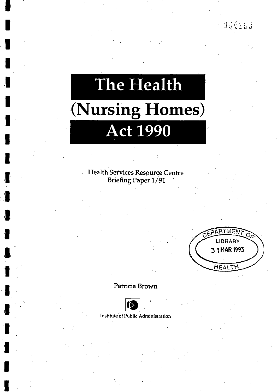# The Health (Nursing Homes) Act 1990

# **Health Services Resource Centre Briefing Paper 1/91**

ARTMENT **LIBRARY** 3 1 MAR 1993 HEALTH

# Patricia Brown



Institute of Public Administration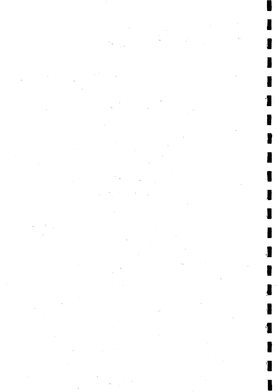$\sum_{i=1}^{n} \frac{1}{i} \int_{0}^{t} \frac{1}{i} \left( \frac{1}{i} \int_{0}^{t} \frac{1}{i} \left( \frac{1}{i} \int_{0}^{t} \frac{1}{i} \right) \frac{1}{i} \right) \frac{1}{i} \, dt$  $\label{eq:2.1} \frac{d^2\mathbf{p}}{d\mathbf{p}} = \frac{1}{\sqrt{2\pi}}\sum_{i=1}^n \frac{d^2\mathbf{p}}{d\mathbf{p}} \, \frac{d^2\mathbf{p}}{d\mathbf{p}} \, \frac{d^2\mathbf{p}}{d\mathbf{p}} \, \frac{d^2\mathbf{p}}{d\mathbf{p}} \, \frac{d^2\mathbf{p}}{d\mathbf{p}} \, \frac{d^2\mathbf{p}}{d\mathbf{p}} \, \frac{d^2\mathbf{p}}{d\mathbf{p}} \, \frac{d^2\mathbf{p}}{d\$ 

 $\label{eq:2.1} \frac{1}{\sqrt{2\pi}}\left(\frac{1}{\sqrt{2\pi}}\right)^{2/3}\frac{1}{\sqrt{2\pi}}\left(\frac{1}{\sqrt{2\pi}}\right)^{2/3}\frac{1}{\sqrt{2\pi}}\left(\frac{1}{\sqrt{2\pi}}\right)^{2/3}\frac{1}{\sqrt{2\pi}}\left(\frac{1}{\sqrt{2\pi}}\right)^{2/3}\frac{1}{\sqrt{2\pi}}\left(\frac{1}{\sqrt{2\pi}}\right)^{2/3}\frac{1}{\sqrt{2\pi}}\frac{1}{\sqrt{2\pi}}\frac{1}{\sqrt{2\pi}}\frac{1}{\sqrt{2\$  $\label{eq:2.1} \frac{1}{2} \int_{0}^{2\pi} \frac{1}{2\pi} \, \frac{1}{2\pi} \, \frac{1}{2\pi} \, \frac{1}{2\pi} \, \frac{1}{2\pi} \, \frac{1}{2\pi} \, \frac{1}{2\pi} \, \frac{1}{2\pi} \, \frac{1}{2\pi} \, \frac{1}{2\pi} \, \frac{1}{2\pi} \, \frac{1}{2\pi} \, \frac{1}{2\pi} \, \frac{1}{2\pi} \, \frac{1}{2\pi} \, \frac{1}{2\pi} \, \frac{1}{2\pi} \, \frac{1}{2\$  $\frac{1}{2}$ 

 $\label{eq:2.1} \frac{1}{\sqrt{2\pi}}\int_{0}^{\infty}\frac{1}{\sqrt{2\pi}}\left(\frac{1}{\sqrt{2\pi}}\right)^{2\alpha} \frac{1}{\sqrt{2\pi}}\int_{0}^{\infty}\frac{1}{\sqrt{2\pi}}\frac{1}{\sqrt{2\pi}}\int_{0}^{\infty}\frac{1}{\sqrt{2\pi}}\frac{1}{\sqrt{2\pi}}\frac{1}{\sqrt{2\pi}}\frac{1}{\sqrt{2\pi}}\frac{1}{\sqrt{2\pi}}\frac{1}{\sqrt{2\pi}}\frac{1}{\sqrt{2\pi}}\frac{1}{\sqrt{2\pi}}\frac{1}{\$  $\hat{\mathcal{L}}_{\text{max}}$  and  $\hat{\mathcal{L}}_{\text{max}}$ 

 $\label{eq:2.1} \frac{1}{\sqrt{2\pi}}\int_{\mathbb{R}^3}\frac{1}{\sqrt{2\pi}}\int_{\mathbb{R}^3}\frac{1}{\sqrt{2\pi}}\int_{\mathbb{R}^3}\frac{1}{\sqrt{2\pi}}\int_{\mathbb{R}^3}\frac{1}{\sqrt{2\pi}}\frac{1}{\sqrt{2\pi}}\frac{1}{\sqrt{2\pi}}\frac{1}{\sqrt{2\pi}}\frac{1}{\sqrt{2\pi}}\frac{1}{\sqrt{2\pi}}\frac{1}{\sqrt{2\pi}}\frac{1}{\sqrt{2\pi}}\frac{1}{\sqrt{2\pi}}\frac{1}{\sqrt{2\pi$  $\label{eq:2.1} \mathcal{L}_{\mathcal{A}} = \mathcal{L}_{\mathcal{A}} \left( \mathcal{L}_{\mathcal{A}} \right) \left( \mathcal{L}_{\mathcal{A}} \right) = \mathcal{L}_{\mathcal{A}} \left( \mathcal{L}_{\mathcal{A}} \right) \left( \mathcal{L}_{\mathcal{A}} \right)$  $\label{eq:2} \mathcal{F}_{\text{max}} = \frac{1}{2} \sum_{i=1}^{N} \frac{1}{2} \sum_{i=1}^{N} \frac{1}{2} \sum_{i=1}^{N} \frac{1}{2} \sum_{i=1}^{N} \frac{1}{2} \sum_{i=1}^{N} \frac{1}{2} \sum_{i=1}^{N} \frac{1}{2} \sum_{i=1}^{N} \frac{1}{2} \sum_{i=1}^{N} \frac{1}{2} \sum_{i=1}^{N} \frac{1}{2} \sum_{i=1}^{N} \frac{1}{2} \sum_{i=1}^{N} \frac{1}{2} \sum_{i=1}$ 

 $\label{eq:2.1} \frac{1}{\sqrt{2}}\int_{\mathbb{R}^3}\frac{1}{\sqrt{2}}\left(\frac{1}{\sqrt{2}}\right)^2\frac{1}{\sqrt{2}}\left(\frac{1}{\sqrt{2}}\right)^2\frac{1}{\sqrt{2}}\left(\frac{1}{\sqrt{2}}\right)^2\frac{1}{\sqrt{2}}\left(\frac{1}{\sqrt{2}}\right)^2\frac{1}{\sqrt{2}}\left(\frac{1}{\sqrt{2}}\right)^2.$  $\sim 1$  $\mathcal{L}^{\text{max}}_{\text{max}}$  and  $\label{eq:2.1} \frac{1}{\sqrt{2\pi}}\sum_{i=1}^N\frac{1}{\sqrt{2\pi}}\sum_{i=1}^N\frac{1}{\sqrt{2\pi}}\sum_{i=1}^N\frac{1}{\sqrt{2\pi}}\sum_{i=1}^N\frac{1}{\sqrt{2\pi}}\sum_{i=1}^N\frac{1}{\sqrt{2\pi}}\sum_{i=1}^N\frac{1}{\sqrt{2\pi}}\sum_{i=1}^N\frac{1}{\sqrt{2\pi}}\sum_{i=1}^N\frac{1}{\sqrt{2\pi}}\sum_{i=1}^N\frac{1}{\sqrt{2\pi}}\sum_{i=1}^N\$  $\label{eq:2.1} \frac{1}{\sqrt{2\pi}}\int_{\mathbb{R}^3}\frac{1}{\sqrt{2\pi}}\int_{\mathbb{R}^3}\frac{1}{\sqrt{2\pi}}\int_{\mathbb{R}^3}\frac{1}{\sqrt{2\pi}}\int_{\mathbb{R}^3}\frac{1}{\sqrt{2\pi}}\int_{\mathbb{R}^3}\frac{1}{\sqrt{2\pi}}\int_{\mathbb{R}^3}\frac{1}{\sqrt{2\pi}}\int_{\mathbb{R}^3}\frac{1}{\sqrt{2\pi}}\int_{\mathbb{R}^3}\frac{1}{\sqrt{2\pi}}\int_{\mathbb{R}^3}\frac{1$ 

 $\frac{1}{2}$  $\mathcal{S}_{\mathcal{S}}$  $\label{eq:2.1} \frac{1}{\sqrt{2}}\left(\frac{1}{\sqrt{2}}\right)^{2} \left(\frac{1}{\sqrt{2}}\right)^{2} \left(\frac{1}{\sqrt{2}}\right)^{2} \left(\frac{1}{\sqrt{2}}\right)^{2} \left(\frac{1}{\sqrt{2}}\right)^{2} \left(\frac{1}{\sqrt{2}}\right)^{2} \left(\frac{1}{\sqrt{2}}\right)^{2} \left(\frac{1}{\sqrt{2}}\right)^{2} \left(\frac{1}{\sqrt{2}}\right)^{2} \left(\frac{1}{\sqrt{2}}\right)^{2} \left(\frac{1}{\sqrt{2}}\right)^{2} \left(\$  $\label{eq:2} \frac{1}{2} \sum_{i=1}^n \frac{1}{2} \sum_{j=1}^n \frac{1}{2} \sum_{j=1}^n \frac{1}{2} \sum_{j=1}^n \frac{1}{2} \sum_{j=1}^n \frac{1}{2} \sum_{j=1}^n \frac{1}{2} \sum_{j=1}^n \frac{1}{2} \sum_{j=1}^n \frac{1}{2} \sum_{j=1}^n \frac{1}{2} \sum_{j=1}^n \frac{1}{2} \sum_{j=1}^n \frac{1}{2} \sum_{j=1}^n \frac{1}{2} \sum_{j=1}^n \frac{1}{$  $\mathcal{L}^{\mathcal{A}}$  $\label{eq:2.1} \frac{1}{\sqrt{2}}\int_{\mathbb{R}^3}\frac{1}{\sqrt{2}}\left(\frac{1}{\sqrt{2}}\right)^2\frac{1}{\sqrt{2}}\left(\frac{1}{\sqrt{2}}\right)^2\frac{1}{\sqrt{2}}\left(\frac{1}{\sqrt{2}}\right)^2\frac{1}{\sqrt{2}}\left(\frac{1}{\sqrt{2}}\right)^2.$ 

 $\mathcal{S}$  $\label{eq:2.1} \mathcal{L}(\mathcal{L}^{\text{max}}_{\mathcal{L}}(\mathcal{L}^{\text{max}}_{\mathcal{L}}))\leq \mathcal{L}(\mathcal{L}^{\text{max}}_{\mathcal{L}}(\mathcal{L}^{\text{max}}_{\mathcal{L}}))$  $\label{eq:2.1} \mathcal{F}(\mathcal{F}) = \mathcal{F}(\mathcal{F}) \left( \mathcal{F}(\mathcal{F}) \right) \left( \mathcal{F}(\mathcal{F}) \right) \left( \mathcal{F}(\mathcal{F}) \right)$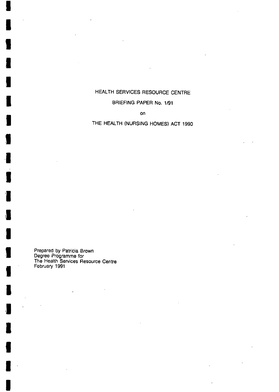# HEALTH SERVICES RESOURCE CENTRE

## BRIEFING PAPER No. 1/91

on

# THE HEALTH (NURSING HOMES) ACT 1990

Prepared by Patricia Brown Degree Programme for The Health Services Resource Centre February 1991

I

I

I

I

I

I

I

I

I

I

**'I** 

I

I

**.1** 

I

I

**,I** 

I

I

I

I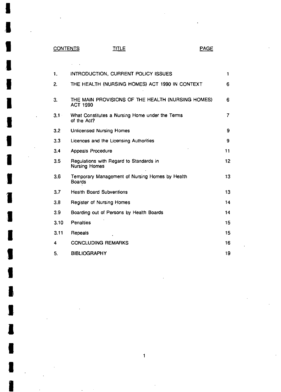**CONTENTS** 

I

**,I** 

I

I

I

I

**,I** 

I

I

I

I

I

I

I

I

I

I

I

I

I

I

# **TITLE**

PAGE

| 1.      | INTRODUCTION, CURRENT POLICY ISSUES                                  | 1              |
|---------|----------------------------------------------------------------------|----------------|
| 2.      | THE HEALTH (NURSING HOMES) ACT 1990 IN CONTEXT                       | 6              |
| 3.      | THE MAIN PROVISIONS OF THE HEALTH (NURSING HOMES)<br><b>ACT 1990</b> | 6              |
| $3.1 -$ | What Constitutes a Nursing Home under the Terms<br>of the Act?       | $\overline{7}$ |
| 3.2     | Unlicensed Nursing Homes                                             | 9              |
| 3.3     | Licences and the Licensing Authorities                               | 9              |
| 3.4     | Appeals Procedure                                                    | 11             |
| 3.5     | Regulations with Regard to Standards in<br><b>Nursing Homes</b>      | 12             |
| 3.6     | Temporary Management of Nursing Homes by Health<br><b>Boards</b>     | 13             |
| 3.7     | <b>Health Board Subventions</b>                                      | 13             |
| 3.8     | Register of Nursing Homes                                            | 14             |
| 3.9     | Boarding out of Persons by Health Boards                             | 14             |
| 3.10    | Penalties                                                            | 15             |
| 3.11    | Repeals                                                              | 15             |
| 4       | <b>CONCLUDING REMARKS</b>                                            | 16             |
| 5.      | <b>BIBLIOGRAPHY</b>                                                  | 19             |

 $\overline{1}$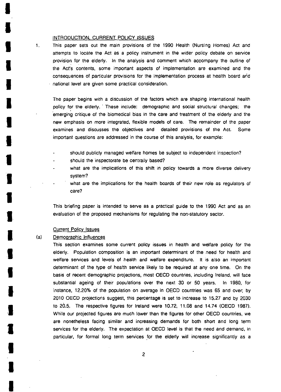## INTRODUCTION. CURRENT POLICY ISSUES

I

I

I

I

I

I

I

I

I

I

I

I

I

I

I

I

I

I

I

**I** 

1. This paper sets out the main provisions of the 1990 Health (Nursing Homes) Act and attempts to locate the Act as a policy instrument in the wider policy debate on service provision for the elderly. In the analysis and comment which accompany the outline of the Acfs contents, some important aspects of implementation are examined and the consequences of particular provisions for the implementation process at health board and national level are given some practical consideration.

The paper begins with a discussion of the factors which are shaping international health policy for the elderly. These include: demographic and social structural changes; the ·emerging critique of the biomedical bias in the care and treatment of the elderly and the new emphasis on more integrated, flexible models of care. The remainder of the paper examines and discusses the objectives and detailed provisions of the Act. Some important questions are addressed in the course of this analysis, for example:

- should publicly managed welfare homes be subject to independent inspection?
- should the inspectorate be centrally based?
- what are the implications of this shift in policy towards a more diverse delivery system?
	- what are the implications for the health boards of their new role as regulators of care?

This briefing paper is intended to serve as a practical guide to the 1990 Act and as an evaluation of the proposed mechanisms for regulating the non-statutory sector.

#### Current Policy Issues

#### (a) Demographic Influences

This section examines some current policy issues in health and welfare policy for the elderly. Population composition is an important determinant of the need for health and welfare services and levels of health and welfare expenditure. It is also an important determinant of the type of health service likely to be required at anyone time. On the basis of recent demographic projections, most OECD countries, including Ireland, will face substantial ageing of their populations over the next 30 or 50 years. In 1980, for instance, 12.20% of the population on average in OECD countries was 65 and over; by 2010 OECD projections suggest, this percentage is set to increase to 15.27 and by 2030 to 20.5. The respective figures for Ireland were 10.72, 11.08 and 14.74 (OECD 1987). While our projected figures are much lower than the figures for other OECD countries, we are nonetheless facing similar and increasing demands for both short and long term services for the elderly. The expectation at OECD level is that the need and demand, in particular, for formal long term services for the elderly will increase significantly as a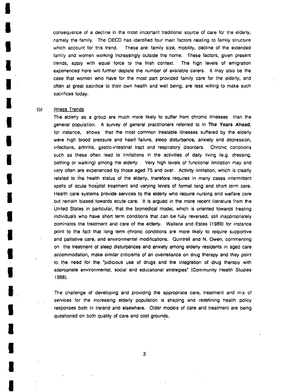consequence of a decline in the most important traditional source of care for the elderly, . namely the family. The OECD has identified four main factors relating to family structure which account for this trend. These are: family size, mobility, decline of the extended family and women working increasingly outside the home. These factors, given present trends, apply with equal force to the Irish context. The high levels of emigration experienced here will further deplete the number of available carers. It may also be the case that women who have for the most part provided family care for the elderly, and often at great sacrifice to their own' health and well being, are less willing to make such sacrifices today.

#### (b) Illness Trends

I

I

I

I

I

I

I

I

I

I

I

I

I

I

I

I

I

I

I

The elderly as a group are much more likely to suffer from chronic illnesses than the general population. A survey of general practitioners referred to in **The** Years **Ahead,**  for instance, shows that the most common treatable illnesses suffered by the elderly were high blood pressure and heart failure, sleep disturbance, anxiety and depression, infections, arthritis, gastro-intestinal tract and respiratory disorders. Chronic conditions such as these often lead to limitations in the activities of daily living (e.g. dressing, bathing or walking) among the elderly. Very high levels of functional limitation may and very often are experienced by those aged 75 and over. Activity limitation, which is clearly related to the health status of the elderly, therefore requires in many cases intermittent spells of acute hospital treatment and varying levels of formal long and short term care. Health care systems provide services to the elderly who require nursing and welfare care but remain biased towards acute care. It is argued in the more recent literature from the United States in particular, that the biomedical model, which is oriented towards treating individuals who have short term conditions that can be fully reversed, still inappropriately dominates the treatment and care of the elderly. Wallace and Estes (1989) for instance point to the fact that long term chronic conditions are more likely to require supportive and palliative care, and environmental modifications. Quintrell and N. Owen, commenting on the treatment of sleep disturbances and anxiety among elderly residents in aged care accommodation, make similar criticisms of an overreliance on drug therapy and they point to the need for the "judicious use of drugs and the integration of drug therapy with appropriate environmental, social and educational strategies<sup>®</sup> (Community Health Studies 1988).

The challenge of developing and providing the appropriate care, treatment and mix of services for the increasing elderly population is shaping and redefining health policy responses both in Ireland and elsewhere. Older models of care and treatment are being questioned on both quality of care and cost grounds.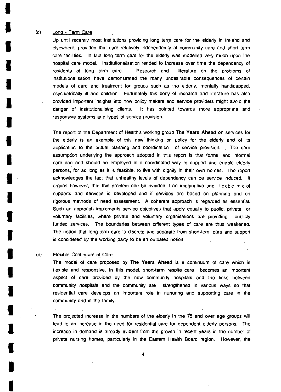#### $(c)$ Long - Term Care

I

I

I

I

I

I

I

**I** 

I

I

I

I

I

I

I

I

I

I

I

I

I

Up until recently most institutions providing long term care for the elderly in Ireland and elsewhere, provided that care relatively independently of community care and shon term care facilities. In fact long term care for the elderly was modelled very much upon the hospital care model. Institutionalisation tended to increase over time the dependency of residents of long term care. Research and literature on the problems of institutionalisation have demonstrated the many undesirable consequences of cenain models of care and treatment for groups such as the elderly, mentally handicapped, psychiatrically ill and children. Fonunately this body of research and literature has also provided imponant insights into how policy makers and service providers might avoid the danger of institutionalising clients. It has pointed towards more appropriate and responsive systems and types of service provision\_

The report of the Department of Health's working group The Years Ahead on services for the elderly is an example of this new' thinking on policy for the elderly and of its application to the actual planning and coordination of service provision. The care assumption underlying the approach adopted in this repon is that formal and informal care can and should be employed in a coordinated way to support and enable elderly persons, for as long as it is feasible, to live with dignity in their own homes. The repon acknowledges the fact that unhealthy levels of dependency can be service induced. It argues however, that this problem can be avoided if an imaginative and flexible mix of supports and services is developed and if services are based on planning and on rigorous methods of need assessment. A coherent approach is regarded as essential. Such an approach implements service objectives that apply equally to public, private or voluntary facilities, where private and voluntary organisations are providing publicly funded services. The boundaries between different types of care are thus weakened. The notion that long-term care is discrete and separate from shon-term care and suppon is considered by the working party to be an outdated notion.

#### $(d)$ Flexible Continuum of Care

The model of care proposed by The Years Ahead is a continuum of care which is flexible and responsive. In this model, short-term respite care becomes an important aspect of care provided by the new community hospitals and the links between community hospitals and the community are strengthened in various ways so that residential care develops an imponant role in nunuring and supponing care in the community and in the family.

The projected increase in the numbers of the elderly in the 75 and over age groups will lead to an increase in the need for residential care for dependent elderly persons\_ The increase in demand is already evident from the growth in recent years in the number of private nursing homes, panicularly in the Eastem Health Board region. However, the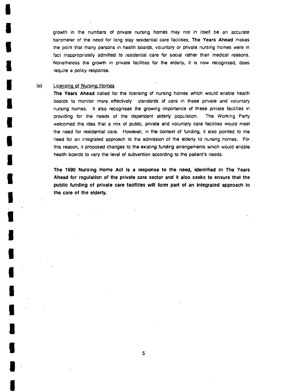growth in the numbers of private nursing homes may not in itself be an accurate barometer of the need for long stay residential care facilities; The Years Ahead makes the point that many persons in health boards, voluntary or private nursing homes were in fact inappropriately admitted to residential care for social rather than medical reasons. Nonetheless the growth in private facilities for the elderly, it is now recognised, does require a policy response.

#### (e) Licensing of Nursing Homes

I

I

I

I

I

I

I

I

I

I

I

I

I

I

I

I

I

I

I

I

I

The Years Ahead called for the licensing of nursing homes which would enable health boards to monitor more effectively standards of care in these private and voluntary nursing homes. It also recognises the growing imponance of these private facilities in providing for the needs of the dependent elderly population. The Working Pany welcomed the idea that a mix of public, private and voluntary care facilities would meet the need for residential care. However, in the context of funding, it also pointed to the need for an integrated approach to the admission of the elderly to nursing homes. For. this reason, it proposed changes to the existing funding arrangements which would enable health boards to vary the level of subvention according to the patient's needs.

The 1990 Nursing Home Act is a response to the need, identified in The Years Ahead for regulation of the private care sector and it also seeks to ensure that the public funding of private care facilities will form part of an integrated approach to the care of the elderly.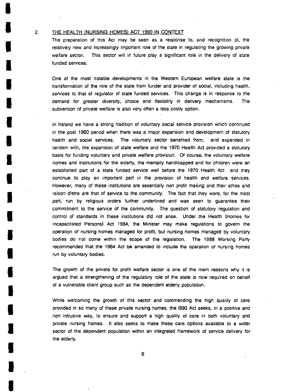## 2. THE HEALTH (NURSING HOMES) ACT 1990 IN CONTEXT

I

I

I

I

I

I

I

I

I

I

I

I

I

I

I

I

I

I

I

I

I

The preparation of this Act may be seen as a response to, and recognition of, the relatively new and increasingly important role of the state in regulating'the growing private welfare sector. This sector will in future play a significant role in the delivery of state funded services.

One of the most notable developments in the Western European welfare state is the transformation of the role of the state from funder and provider of social, including health, services to that of regulator of state funded services. This change is in response to the demand for greater diversity, choice and flexibility in delivery mechanisms. The subvention of private welfare is also very often a less costly option.

In Ireland we have a strong tradition of voluntary social service provision which 'continued in the post 1960 period when there was a major expansion and development of statutory health and social services. The voluntary sector benefited from, and expanded in tandem with, the expansion of state welfare and the 1970 Health Act provided a statutory basis for funding voluntary and private welfare provision. Of course, the voluntary welfare homes and institutions for the elderly, the mentally handicapped and for children were an established part of a state funded service well before the 1970 Health Act and they continue to play an important part in the provision of health and welfare services. However, many of these institutions are essentially non profit making and their ethos and raison d'etre are that of service to the community. The fact that they were, for the most part, run by religious orders further underlined and was seen to guarantee their commitment to the service of the community. The question of statutory regulation and control of standards in these institutions did not arise. Under the Health (Homes for Incapacitated Persons) Act 1964, the Minister may make regulations to govern the operation of nursing homes managed for profit, but nursing homes managed by voluntary bodies do not come within the scope of the legislation. The 1988 Working Party recommended that the 1964 Act be amended to include the operation of nursing homes run by voluntary bodies.

The growth of the private for profit welfare sector is one of the main reasons why it is argued that a strengthening of the regulatory role' of the state is now required on behalf of a vulnerable client group such as the dependent elderly population.

While welcoming the growth of this sector and commending the high quality of care provided in so many of these private nursing homes, the 1990 Act seeks, in a positive and non intrusive way, to ensure and support a high quality of care in both voluntary and private nursing homes. It also seeks to make these care options available to a wider sector of the dependent population within an integrated framework of service delivery for the elderly.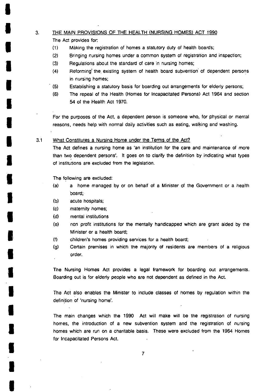#### 3. THE MAIN PROVISIONS OF THE HEALTH (NURSING HOMES) ACT 1990

The Act provides for:

I

I

I

I

I

I

I

I

I

I

I

I

I

I

I

I

I

I

I

I

I

- (1) Making the registration of homes a statutory duty of health boards;
- (2) Bringing nursing homes under a common system of registration and inspection;
- (3) Regulations about the standard of care in nursing homes;
- (4) Reforming' the existing system of health board subvention of dependent persons in nursing homes;
- (5) Establishing a statutory basis for boarding out arrangements for elderly persons;
- (6) The repeal of the Health (Homes for Incapacitated Persons) Act 1964 and section 54 of the Health Act 1970.

For the purposes of the Act, a dependent person is someone who, for physical or mental reasons, needs help with normal daily activtties such as eating, walking and washing.

#### 3.1 What Constitutes a Nursing Home under the Terms of the Act?

The Act defines a nursing home as 'an institution for the care and maintenance of more than two dependent persons'. It goes on to clarify the definition by indicating what types of institutions are excluded from the legislation.

The following are excluded:

- (a) a home managed by or on behalf of a Minister of the Government or a health board;
- (b) acute hospitals;
- (c) matemity homes;
- (d) mental institutions
- (e) non profit institutions for the mentally handicapped which are grant aided by the Minister or a health board;
- (I) children's homes providing services for a health board;
- (g) Certain premises in which the majority of residents are members of a religious order.

The Nursing Homes Act provides a legal framework for boarding out arrangements. Boarding out is for elderly people who are not dependent as defined in the Act.

The Act also enables the Minister to include classes of homes by regulation within the definition of 'nursing home'.

The main changes which the 1990 Act will make will be the registration of nursing homes, the introduction of a new subvention system and the registration of nursing homes which are run on a charitable basis. These were excluded from the 1964 Homes for Incapacitated Persons Act.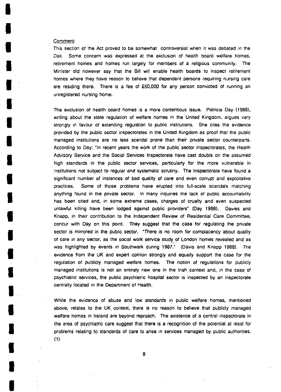#### Comment:

I

I

I

I

I

I

I

I

I

I

I

I

I

I

I

I

I

I

I

I

I

This section of the Act proved to be somewhat controversial when it was debated in the Dail. Some concern was expressed at the exclusion of health board welfare homes, retirement homes and homes run largely for members of a religious community. The Minister did however say that the Bill will enable health boards to inspect retirement homes where they have reason to believe that dependent persons requiring nursing care are residing there. There is a fee of £50,000 for any person convicted of running an unregistered nursing home.

The exclusion of health board homes is a more contentious issue. Patricia Day (1988), writing about the state regulation of welfare homes in the United Kingdom, argues very strongly in favour of extending regulation to public institutions. She cites the evidence provided by the public sector inspectorates in the United Kingdom as proof that the public managed institutions are no less scandal prone than their private sector counterparts. According to Day: "In recent years the work of the public· sector inspectorates, the Health Advisory Service and the Social Services Inspectorate have cast doubts on the assumed high standards in the public sector services, particularly for the more vulnerable in institutions not subject to regular and systematic scrutiny. The Inspectorate have found a significant number of instances of bad quality of care and even corrupt and exploitative practices. Some of those problems have erupted into full·scale scandals matching anything found in the private sector. In many inquiries the lack of public accountability has been cited and, in some extreme cases, charges of cruelty and even suspected unlawful killing have been lodged against public providers" (Day 1988). Davies and· Knapp, in their contribution to the Independent Review of Residential Care Committee, concur with Day on this point. They suggest that the case for regulating the private sector is mirrored in the public sector. "There is no room for complacency about quality of care in any sector, as the social work service study of London homes revealed and as was highlighted by events in Southwark during 1987: (Davis and Knapp 1988). The evidence from the UK and expert opinion strongly and equally support the case for the regulation of publicly managed welfare homes. The notion of regulations for publicly managed institutions is not an entirely new one in the Irish context and, in the case of psychiatric services, the public psychiatric hospital sector is inspected by an inspectorate centrally located in the Department of Health.

While the evidence of abuse and low standards in public welfare homes, mentioned above, relates to the UK. context, there is no reason to believe that publicly managed welfare homes in Ireland are beyond reproach. The existence of a central inspectorate in the area of psychiatric care suggest that there is a recognition of the potential at least for problems relating to standards of care to arise in services managed by public authorities.  $(1)$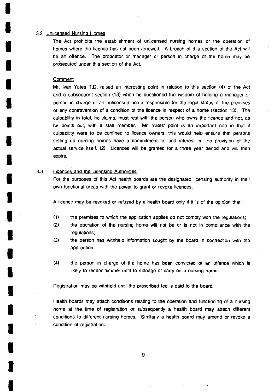#### 3.2 Unlicensed Nursing Homes

I

I

I

I

I

I

I

I

I

I

I

I

I

I

I

I

I

I

I

I

I

The Act prohibits the establishment of unlicensed nursing homes or the operation of homes where the licence has not been renewed. A breach of this section of the Act will be an offence. The proprietor or manager or person in charge of the home may be prosecuted- under this section of the Act.

#### **Comment**

Mr. Ivan Yates T.D. raised an interesting point in relation to this section (4) of the Act and a subsequent section (13) when he questioned the wisdom of holding a manager or person in charge of an unlicensed home responsible for the legal status of the premises or any contravention of a condition of the licence in respect of a home (section 13). The culpability in total, he claims, must rest with the person who owns the licence and not, as he points out, with a staff member. Mr. Yates' point is an important one in that if culpability were to be confined to licence owners, this would help ensure that persons setting up nursing homes have a commitment to, and interest in, the provision of the actual service itself. (2) licences will be granted for a three year period and will then expire.

#### 3.3 Licences and the Licensing Authorities

For the purposes of this Act health boards are the designated licensing authority in their own functional areas with the power to grant or revoke licences.

A licence may be revoked or refused by a health board only if it is of the opinion that:

- $(1)$ the premises to which the application applies do not comply with the regulations;
- (2) the operation of the nursing home will not be or is not in compliance with the regulations;
- (3) the person has withheld information sought by the board in connection with the application.
- (4) the person in charge of the home has been convicted of an offence which is likely to render him/her unfit to manage or carry on a nursing home.

Registration may be withheld until the prescribed fee is paid to the board.

Health boards may attach conditions relating to the operation and functioning of a nursing home at the time of registration or subsequently a health board may attach different conditions to different nursing homes. Similarly a health board may amend or revoke a condition of registration.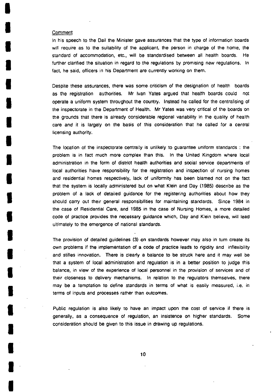#### **Comment**

I

I

I

I

I

I

I

I

I

I

I

I

I

I

I

I

I

I

I

I

I

In his speech to the Dail the Minister gave assurances that the type of information boards will require as to the suitability of the applicant, the person in charge of the home, the standard of accommodation, etc., will be standardised between all. health boards. He further clarified the situation in regard to the regulations by promising new regulations. In fact, he said, officers in his Department are currently working on them.

Despite these assurances, there was some criticism of the designation of health boards as the registration authorities. Mr Ivan Yates argued that health boards could not operate a uniform system throughout the country. Instead he called for the centralising of the inspectorate in the Department of Health. Mr Yates was very critical of the boards on the grounds that there is already considerable regional variability in the quality of health care and it is largely on the basis of this consideration that he called for a central licensing authority.

The location of the inspectorate centrally is unlikely to guarantee uniform standards : the problem is in fact much more complex than this. In the United Kingdom where local administration in the form of district health authorities and social service departments of local authorities have responsibility for the registration and inspection of nursing homes and residential homes respectively, lack of uniformity has been blamed not on the fact that the system is locally administered but on what Klein and Day (1985) describe as the problem of a lack of detailed guidance for the registering authorities about how they should carry out their general responsibilities for maintaining standards. Since 1984 in the case of Residential Care, and 1985 in the case of Nursing Homes, a more detailed code of practice provides the necessary guidance which, Day and Klein believe, will lead ultimately to the emergence of national standards.

The provision of detailed guidelines (3) on standards however may also in turn create its own problems if the implementation of a code of practice leads to rigidity and inflexibility and stifles innovation. There is clearly a balance to be struck here and it may well be that a system of local administration and regulation is in a better position to judge this balance, in view of the experience of local personnel in the provision of services and of their closeness to delivery mechanisms. In relation to the regulators themselves, there may be a temptation to define standards in terms of what is easily measured, i.e. in terms of inputs and processes rather than outcomes.

Public regulation is also likely to have an impact upon the cost of service if there is generally, as a consequence of regulation, an insistence on higher standards. Some consideration should be given to this issue in drawing up regulations.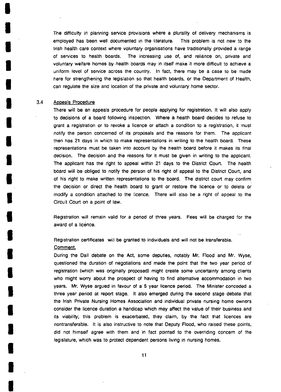The difficulty in planning service provisions where a plurality of delivery mechanisms is employed has been well documented in the literature. This problem is not new to the Irish health care context where voluntary organisations have traditionally provided a range of services to health boards. The increasing use of, and reliance on, private and voluntary welfare homes by health boards may in itself make it more difficult to achieve a uniform level of service across the country. In fact, there may be a case to be made here for strengthening the legislation so that health boards, or the Department of Health, can regulate the size and location of the private and voluntary home sector.

#### 3.4 Aopeals Procedure

I

I

I

I

I

I

I

I

I

I

I

I

I

I

I

I

I

I

I

I

I

There will be an appeals procedure for people applying for registration. It will also apply to decisions of a board following inspection. Where a health board decides to refuse to grant a registration or to revoke a licence or attach a condition to a registration, it must notify the person concerned of its proposals and the reasons for them. The applicant then has 21 days in which to make representations in writing to the health board. These representations must be taken into account by the health board before it makes its final decision. The decision and the reasons for it must be given in writing to the applicant. The applicant has the right to appeal within 21 days to the District Court. The health board will be obliged to notify the person of his right of appeal to the District Court, and of his right to make written representations to the board. The district court may confirm the decision or direct the health board to grant or restore the licence or to delete or modify a condition attached to the licence. There will also be a right of appeal to the Circuit Court on a point of law.

Registration will remain valid for a period of three years. Fees will be charged for the award of a licence.

Registration certificates will be granted to individuals and will not be transferable. Comment.

During the Dail debate on the Act, some deputies, notably Mr. Flood and Mr. Wyse, questioned the duration of negotiations and made the point that the two year period of registration (which was originally proposed) might create some uncertainty among clients who might worry about the prospect of having to find alternative accommodation in two years. Mr. Wyse argued in favour of a 5 year licence period. The Minister conceded a three year period at report stage. It also emerged during the second stage debate that the Irish Private Nursing Homes ASSOCiation and individual private nursing home owners consider the licence duration a handicap which may affect the value of their business and its viability; this problem is exacerbated, they claim, by the fact that licences are nontransferable. It is also instructive to note that Deputy Flood, who raised these points, did not himself agree with them and in fact pointed to the overriding concern of the legislature, which was to protect dependent persons living in nursing homes.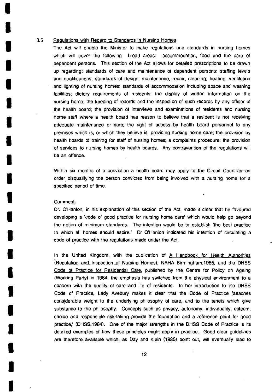## 3.5 Regulations with Regard to Standards in Nursing Homes

The Act will enable the Minister to make regulations and standards in nursing homes which will cover the fOllowing broad areas: accommodation, food and the care of dependent persons. This section of the Act allows for detailed prescriptions to be drawn up regarding: standards of care and maintenance of dependent' persons; staffing levels and qualifications; standards of design, maintenance, repair, cleaning, heating, ventilation and lighting of nursing homes; standards of accommodation including space and washing facilities; dietary requirements of residents; the display of written information on the nursing home; the keeping of records and the inspection of such records by any officer of . the health board; the provision of interviews and examinations of residents and nursing home staff where a health board has reason to believe that a resident is not receiving adequate maintenance or care; the right of access by health board personnel to any premises which is, or which they believe is, providing nursing home care; the provision by health boards of training for staff of nursing homes; a complaints procedure; the provision of services to nursing homes by health boards. Any contravention of the regulations will be an offence.

Within six months of a conviction a health board may apply to the Circuit Court for an order disqualifying the person convicted from being involved with a nursing home for a specified period of time.

## Comment:

I

I

I

I

I

I

I

I

I

I

I

I

I

I

I

I

I

I

I

I

I

Dr. O'Hanlon, in his explanation of this section of the Act, made it clear that he favoured developing a 'code of good practice for nursing home care' which would help go beyond the notion of minimum standards. The intention would be to establish 'the best practice to which all homes should aspire.' Dr O'Hanlon indicated his intention of circulating a code of practice with the regulations made under the Act.

In the United Kingdom, with the publication of A Handbook for Health Authorities (Regulation and Inspection of Nursing Homes), NAHA Birmingham,1985, and the DHSS Code of Practice for Residential Care, published by the Centre for Policy on Ageing (Working Party) in 1984, the emphasis has switched from the phySical environment to a concern with the quality of care and life of residents. In her introduction to the DHSS Code of Practice, Lady Avebury makes it clear that the Code of Practice 'attaches considerable weight to the underlying philosophy of care, and to the tenets which give substance to the philosophy. Concepts such as privacy, autonomy, individuality, esteem, choice and responsible risk·taking provide the foundation and a reference point for good practice,' (DHSS,1984). One of the major strengths in the DHSS Code of Practice is its detailed examples of how these principles might apply in practice. Good clear guidelines are therefore available which, as Day and Klein (1985) point out, will eventually lead to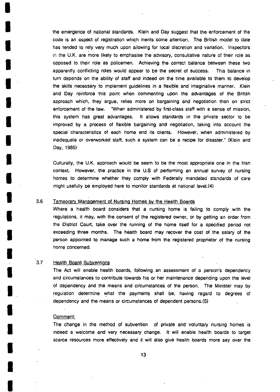the emergence of national standards. Klein and Day suggest that the enforcement of the code is an aspect of registration which merits some attention. The British model to date has tended to rely very much upon allowing for local discretion and variation. Inspectors in the U.K. are more likely to emphasise the advisory, consultative nature of their role as opposed to. their role as policemen. Achieving the correct balance between these two apparently conflicting roles would appear to be the secret of success. This balance in turn depends on the ability of staff and indeed on the time available to them to develop the skills necessary to implement guidelines in a flexible and imaginative manner. Klein and Day reinforce this point when commenting upon the advantages of the British approach which, they argue, relies more on bargaining and negotiation than on strict enforcement of the law. "When administered by first-class staff with a sense of mission, this system has great advantages. It allows standards in the private sector to be improved by a process of flexible bargaining and negotiation, taking into account the special characteristics of each home and its clients. However, when administered by inadequate or overworked staff, such a system can be a recipe for disaster." (Klein and Day, 1985)

Culturally, the U.K. approach would be seem to be the most appropriate one in the Irish context However, the practice in the U.S of performing an annual survey of nursing homes to determine whether they comply with Federally mandated standards of care might usefully be employed here to monitor standards at national level.(4)

#### 3.6 Temporarv Management of Nursing Homes by the Health Boards

Where a health board considers that a nursing home is failing to comply with the regulations, it may, with the consent of the registered owner, or by getting an order from the District Court, take over the running of the home itself for a specified period not exceeding three months. The health board may recover the cost of the salary of the person appointed to manage such a home from the registered proprietor of the nursing home concerned;

#### 3.7 **Health Board Subventions**

I

I

I

I

I

I

I

I

I

I

I

I

I

I

I

I

I

I

I

I

I

The Act will enable health boards, following an assessment of a person's dependency and circumstances to contribute towards his or her maintenance depending upon the level of dependency and the means and circumstances of the person. The Minister may by regulation determine what the payments shall be, having regard to degrees of dependency and the means or circumstances of dependent persons.(S)

#### Comment:

The change in the method of subvention of private and voluntary nursing homes is indeed a welcome and very necessary change. It will enable health boards to target scarce resources more effectively and it will also give health boards more say over the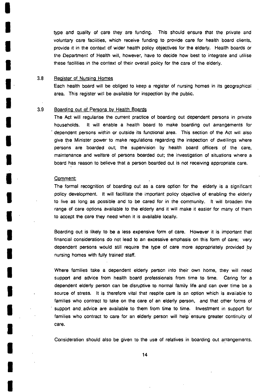type and quality of care they are funding. This should ensure that the private and voluntary care facilities, which receive funding to provide care for health board clients, provide it in the context of wider health policy objectives for the elderly. Health boards or the Department of Health will, however, have to decide how best to integrate and utilise these· facilities in the context of their overall policy for the care of the elderly.

## 3.8 Register of Nursing Homes

I

I

I

I

I

I

I

I

I

I

I

I

I

I

I

I

I

I

I

I

I

Each health board will be obliged to keep a register of nursing homes in its geographical area. This register will be available for inspection by the public.

## 3.9 Boarding out of Persons by Health Boards

The Act will regularise the current practice of boarding out dependent persons in private households. It will enable a health board to make boarding out arrangements for . dependent persons within or outside its functional area. This section of the Act will also give the Minister power to make regulations regarding the inspection of dwellings where persons are boarded out; the supervision by health board officers of the care, maintenance and welfare of persons boarded out; the investigation of situations where a board has reason to believe that a person boarded out is not receiving appropriate care.

#### Comment:

The formal recognition of boarding out as a care option for the elderly is a significant policy development. It will facilitate the important policy objective of enabling the elderly to live as long as possible and to be cared for in the community. It will broaden the range of care options available to the elderly and it will make it easier for many of them to accept the care they need when it is available locally.

Boarding out is likely to be a less expensive form of care. However it is important that financial considerations do not lead to an excessive emphasis on this form of care; very dependent persons would still require the type of care more appropriately provided by nursing homes with fully trained staff.

Where families take a dependent elderly person into their own home, they will need support and advice from health board professionals from time to time. Caring for a dependent elderly person can be disruptive to normal family life and can over time be a source of stress. It is therefore vital that respite care is an option which is available to families who contract to take on the care of an elderly person, and that other forms of support and. advice are available to them from time to time. Investment in support for families who contract to care for an elderly person will help ensure greater continuity of care.

Consideration should also be given to the use of relatives in boarding out arrangements.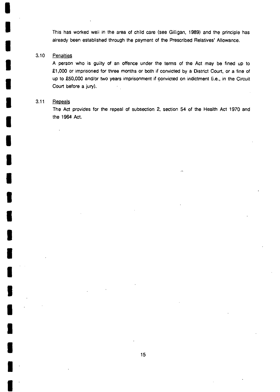This has worked well in the area of child care (see Gilligan, 1989) and the principle has already been established through the payment of the Prescribed Relatives' Allowance.

## 3.10 Penalties

I

I

I

I

I

I

I

I

I

I

I

I

I

I

I

I

I

I

I

I

I

A person who is guilty of an offence under the terms of the Act may be fined up to £1,000 or imprisoned for three months or both if convicted by a District Court, or a fine of up to £50,000 and/or two years imprisonment if convicted on indictment (i.e., in the Circuit Court before a jury).

## 3.11 Repeals

The Act provides for the repeal of subsection 2, section 54 of the Health Act 1970 and the 1964 Act.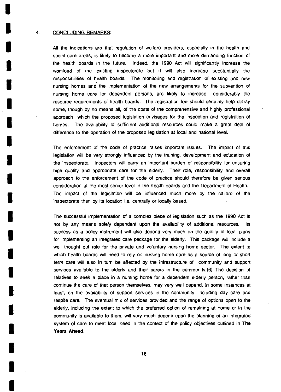## 4. CONCLUDING REMARKS:

I

I

I

I

I

I

I

I

I

I

I

I

I

I

I

I

I

I

I

I

I

All the indications are that regulation of welfare providers, especially in the health and social care areas, is likely to become a more important and more demanding function of the health boards in the future. Indeed, the 1990 Act will significantly increase the workload of the existing inspectorate but it will also increase substantially the responsibilities of health boards. The monitoring and registration of existing and new nursing homes and the implementation of the new arrangements for the subvention of nursing home care for dependent persons, are likely to increase considerably the resource requirements of health boards. The registration fee should certainly help defray some, though by no means all, of the costs of the comprehensive and highly professional approach which the proposed legislation envisages for the inspection and registration of homes. The availability of sufficient additional resources could make a great deal of difference to the operation of the proposed legislation at local and national level.

The enforcement of the code of practice raises important issues. The impact of this legislation will be very strongly influenced by the training, development and education of the inspectorate. Inspectors will carry an important burden of responsibility for ensuring high quality and appropriate care for the elderly. Their role, responsibility and overall approach to the enforcement of the code of practice should therefore be given serious consideration at the most senior level in the health boards and the Department of Health. The impact of the legislation will be influenced much more by the calibre of the inspectorate than by its location i.e. centrally or locally based.

The successful implementation of a complex piece of legislation such as the 1990 Act is not by any means solely dependent upon the availability of additional resources. Its success as a policy instrument will also depend very much on the quality of local plans for implementing an integrated care package for the elderly. This package will include a well thought out role for the private and voluntary nursing home sector. The extent to which health boards will need to rely on nursing home care as a source of long or short term care will also in tum be affected by the infrastructure of community and support services available to the elderly and their carers in the community.(6) The decision of relatives to seek a place in a nursing home for a dependent elderly person, rather than continue the care of that person themselves, may very well depend, in some instances at least, on the availability of support services in the community, including day care and respite care. The eventual mix of services provided and the range of options open to the elderly, including the extent to which the preferred option of remaining at home or in the community is available to them, will very much depend upon the planning of an integrated system of care to meet local need in the context of the policy objectives outlined in The Years Ahead.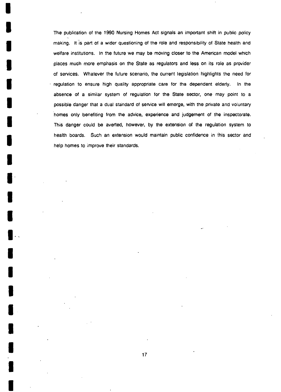The publication of the 1990 Nursing Homes Act signals an important shift in public policy making. It is part of a wider questioning of the role and responsibility of State health and welfare institutions. In the future we may be moving closer to the American model which places much more emphasis on the State as regulators and less on its role as provider of services. Whatever the future scenario, the current legislation highlights the need for regulation to ensure high quality appropriate care for the dependent elderly. In the absence of a similar system of regulation for the State sector, one may point to a possible danger that a dual standard of service will emerge, with the private and voluntary homes only benefiting from the advice, experience and judgement of the inspectorate. This danger could be averted, however, by the extension of the regulation system to health boards. Such an extension would maintain public confidence in this sector and help homes to improve their standards.

I

I

I

I

I

I

I

I

I

**I·** 

I

I

**I·** 

I

I

I

I

I

I

I

I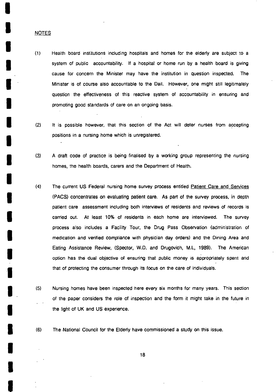## **NOTES**

I

I

I

I

I

I

I

I

I

I

I

I

I

I

I

I

I

I

I

I

I

- (1) Health board institutions including hospitals and homes for the elderly are subject to a system of public accountability. If a hospital or home run by a health board is giving cause for concern the Minister may have the institution in question inspected. The Minister is of course also accountable to the Dail. However, one might still legitimately question the effectiveness of this reactive system of accountability in ensuring and promoting good standards of care on an ongoing basis.
- (2) It is possible however, that this section of the Act will deter nurses from accepting positions in a nursing home which is unregistered.
- (3) A draft code of practice is being finalised by a working group representing the nursing homes, the health boards, carers and the Department of Health.
- (4) The current US Federal nursing home survey process entitled Patient Care and Services (PACS) concentrates on evaluating patient care. As part of the survey process, in depth patient care assessment including both interviews of residents and reviews of records is carried out. At least 10% of residents in each home are interviewed. The survey process also includes a Facility Tour, the Drug Pass Observation (administration of medication and verified compliance with physician day orders) and the Dining Area and Eating Assistance Review, (Spector, W.D. and Drugovich, M.L, 1989). The American option has the dual objective of ensuring that public money is appropriately spent and that of protecting the consumer through its focus on the care of individuals.
- (5) Nursing homes have been inspected here every six months for many years. This section of the paper considers the role of inspection and the form it might take in the future in the light of UK and US experience.
- (6) The National Council for the Elderly have commissioned a study on this issue.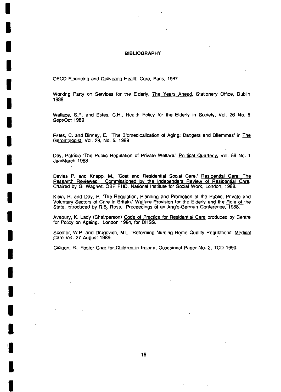#### **BIBLIOGRAPHY**

OECD Financing and Delivering Health Care, Paris, 1987

I

I

I

I

I

I

I

I

I

I

I

I

I

I

I

I

I

I

**'I** 

I

I

Working Party on Services for the Elderly, The Years Ahead, Slationery Office, Dublin 1988

Wallace, S.P. and Estes, C.H., Health Policy for the Elderly in Society, Vol. 26 No. 6 SepVOct 1989

Estes, C. and Binney, E. 'The Biomedicalization of Aging; Dangers and Dilemmas' in The Gerontologist, Vol. 29, No. 5, 1989

Day, Patricia 'The Public Regulation of Private Welfare.' Political Quarterly, Vol. 59 No. 1 Jan/March 1988

Davies P. and Knapp, M., 'Cost and Residential Social Care.' Residential Care; The Research Reviewed. Commissioned by the Independent Review of Residential Care, Chaired by G. Wagner. OBE PHD. National Institute for Social Work, London, 1988.

Klein, R. and Day, P. 'The Regulation, Planning and Promotion of the Public, Private and Voluntary Sectors of Care in Britain.' Welfare Provision for the Elderly and the Role of the State, introduced by R.B. Ross. Proceedings of an Anglo-German Conference, 1988.

Avebury. K. Lady (Chairperson) Code of Practice for Residential Care produced by Centre for Policy on Ageing. London 1984, for DHSS.

Spector, W.P. and Drugovich. **M.L.** 'Reforming Nursing Home Quality Regulations' Medical Avebury, K. Lady (Chairperson) Code of Practice for Residential Care produ<br>for Policy on Ageing. London 1984, for DHSS.<br>Spector, W.P. and Drugovich, M.L. 'Reforming Nursing Home Quality Regul

Gilligan, R., Foster Care for Children in Ireland, Occasional Paper No.2, TCD 1990.